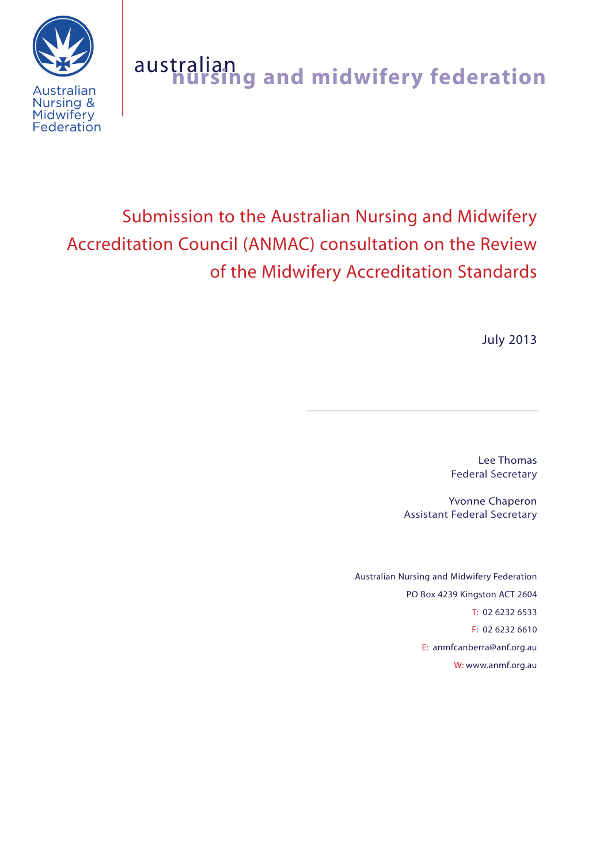



# Submission to the Australian Nursing and Midwifery Accreditation Council (ANMAC) consultation on the Review of the Midwifery Accreditation Standards

July 2013

Lee Thomas Federal Secretary

Yvonne Chaperon Assistant Federal Secretary

Australian Nursing and Midwifery Federation PO Box 4239 Kingston ACT 2604 T: 02 6232 6533 F: 02 6232 6610 E: anmfcanberra@anf.org.au W: www.anmf.org.au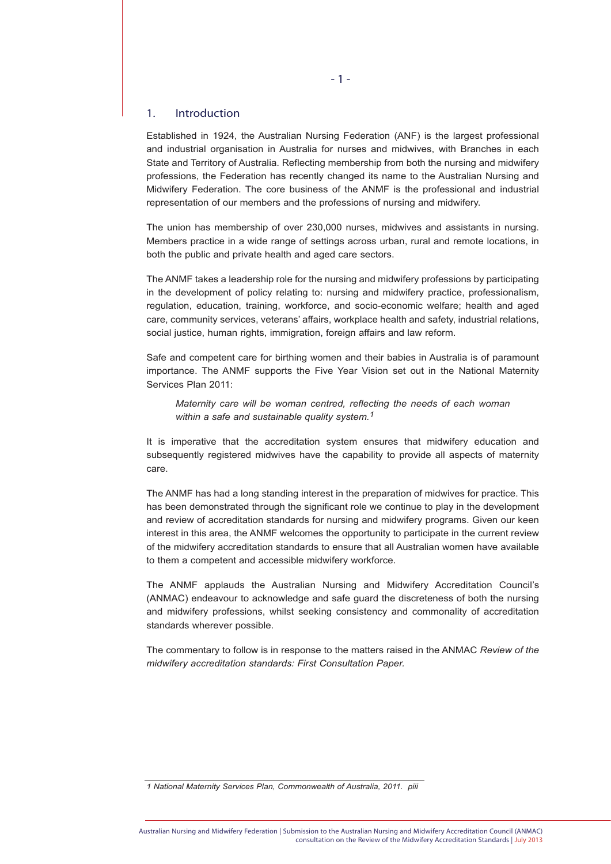# 1. Introduction

Established in 1924, the Australian Nursing Federation (ANF) is the largest professional and industrial organisation in Australia for nurses and midwives, with Branches in each State and Territory of Australia. Reflecting membership from both the nursing and midwifery professions, the Federation has recently changed its name to the Australian Nursing and Midwifery Federation. The core business of the ANMF is the professional and industrial representation of our members and the professions of nursing and midwifery.

The union has membership of over 230,000 nurses, midwives and assistants in nursing. Members practice in a wide range of settings across urban, rural and remote locations, in both the public and private health and aged care sectors.

The ANMF takes a leadership role for the nursing and midwifery professions by participating in the development of policy relating to: nursing and midwifery practice, professionalism, regulation, education, training, workforce, and socio-economic welfare; health and aged care, community services, veterans' affairs, workplace health and safety, industrial relations, social justice, human rights, immigration, foreign affairs and law reform.

Safe and competent care for birthing women and their babies in Australia is of paramount importance. The ANMF supports the Five Year Vision set out in the National Maternity Services Plan 2011:

*Maternity care will be woman centred, reflecting the needs of each woman within a safe and sustainable quality system.1*

It is imperative that the accreditation system ensures that midwifery education and subsequently registered midwives have the capability to provide all aspects of maternity care.

The ANMF has had a long standing interest in the preparation of midwives for practice. This has been demonstrated through the significant role we continue to play in the development and review of accreditation standards for nursing and midwifery programs. Given our keen interest in this area, the ANMF welcomes the opportunity to participate in the current review of the midwifery accreditation standards to ensure that all Australian women have available to them a competent and accessible midwifery workforce.

The ANMF applauds the Australian Nursing and Midwifery Accreditation Council's (ANMAC) endeavour to acknowledge and safe guard the discreteness of both the nursing and midwifery professions, whilst seeking consistency and commonality of accreditation standards wherever possible.

The commentary to follow is in response to the matters raised in the ANMAC *Review of the midwifery accreditation standards: First Consultation Paper.*

*<sup>1</sup> National Maternity Services Plan, Commonwealth of Australia, 2011. piii*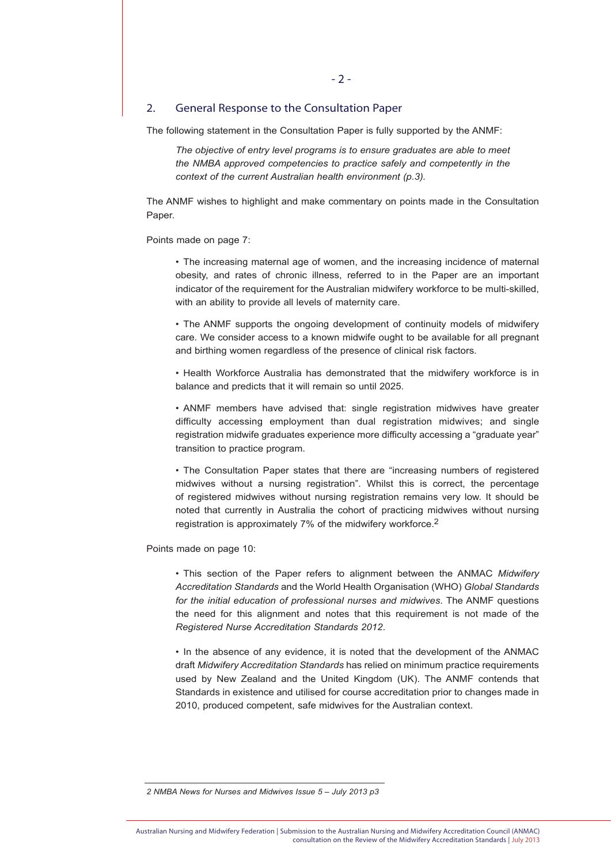## 2. General Response to the Consultation Paper

The following statement in the Consultation Paper is fully supported by the ANMF:

*The objective of entry level programs is to ensure graduates are able to meet the NMBA approved competencies to practice safely and competently in the context of the current Australian health environment (p.3).*

The ANMF wishes to highlight and make commentary on points made in the Consultation Paper.

Points made on page 7:

• The increasing maternal age of women, and the increasing incidence of maternal obesity, and rates of chronic illness, referred to in the Paper are an important indicator of the requirement for the Australian midwifery workforce to be multi-skilled, with an ability to provide all levels of maternity care.

• The ANMF supports the ongoing development of continuity models of midwifery care. We consider access to a known midwife ought to be available for all pregnant and birthing women regardless of the presence of clinical risk factors.

• Health Workforce Australia has demonstrated that the midwifery workforce is in balance and predicts that it will remain so until 2025.

• ANMF members have advised that: single registration midwives have greater difficulty accessing employment than dual registration midwives; and single registration midwife graduates experience more difficulty accessing a "graduate year" transition to practice program.

• The Consultation Paper states that there are "increasing numbers of registered midwives without a nursing registration". Whilst this is correct, the percentage of registered midwives without nursing registration remains very low. It should be noted that currently in Australia the cohort of practicing midwives without nursing registration is approximately 7% of the midwifery workforce.2

Points made on page 10:

• This section of the Paper refers to alignment between the ANMAC *Midwifery Accreditation Standards* and the World Health Organisation (WHO) *Global Standards for the initial education of professional nurses and midwives*. The ANMF questions the need for this alignment and notes that this requirement is not made of the *Registered Nurse Accreditation Standards 2012*.

• In the absence of any evidence, it is noted that the development of the ANMAC draft *Midwifery Accreditation Standards* has relied on minimum practice requirements used by New Zealand and the United Kingdom (UK). The ANMF contends that Standards in existence and utilised for course accreditation prior to changes made in 2010, produced competent, safe midwives for the Australian context.

*<sup>2</sup> NMBA News for Nurses and Midwives Issue 5 – July 2013 p3*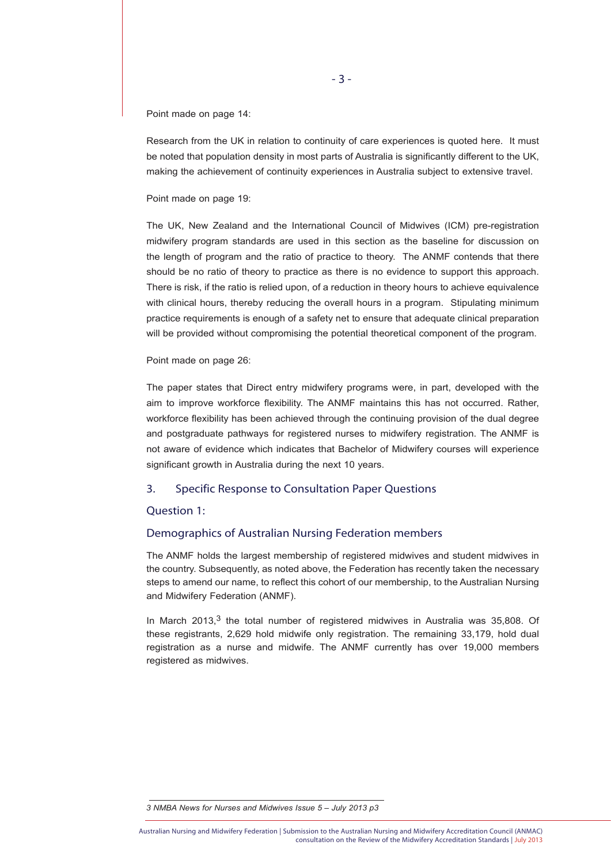Point made on page 14:

Research from the UK in relation to continuity of care experiences is quoted here. It must be noted that population density in most parts of Australia is significantly different to the UK. making the achievement of continuity experiences in Australia subject to extensive travel.

Point made on page 19:

The UK, New Zealand and the International Council of Midwives (ICM) pre-registration midwifery program standards are used in this section as the baseline for discussion on the length of program and the ratio of practice to theory. The ANMF contends that there should be no ratio of theory to practice as there is no evidence to support this approach. There is risk, if the ratio is relied upon, of a reduction in theory hours to achieve equivalence with clinical hours, thereby reducing the overall hours in a program. Stipulating minimum practice requirements is enough of a safety net to ensure that adequate clinical preparation will be provided without compromising the potential theoretical component of the program.

#### Point made on page 26:

The paper states that Direct entry midwifery programs were, in part, developed with the aim to improve workforce flexibility. The ANMF maintains this has not occurred. Rather, workforce flexibility has been achieved through the continuing provision of the dual degree and postgraduate pathways for registered nurses to midwifery registration. The ANMF is not aware of evidence which indicates that Bachelor of Midwifery courses will experience significant growth in Australia during the next 10 years.

# 3. Specific Response to Consultation Paper Questions

## Question 1:

# Demographics of Australian Nursing Federation members

The ANMF holds the largest membership of registered midwives and student midwives in the country. Subsequently, as noted above, the Federation has recently taken the necessary steps to amend our name, to reflect this cohort of our membership, to the Australian Nursing and Midwifery Federation (ANMF).

In March 2013,<sup>3</sup> the total number of registered midwives in Australia was 35,808. Of these registrants, 2,629 hold midwife only registration. The remaining 33,179, hold dual registration as a nurse and midwife. The ANMF currently has over 19,000 members registered as midwives.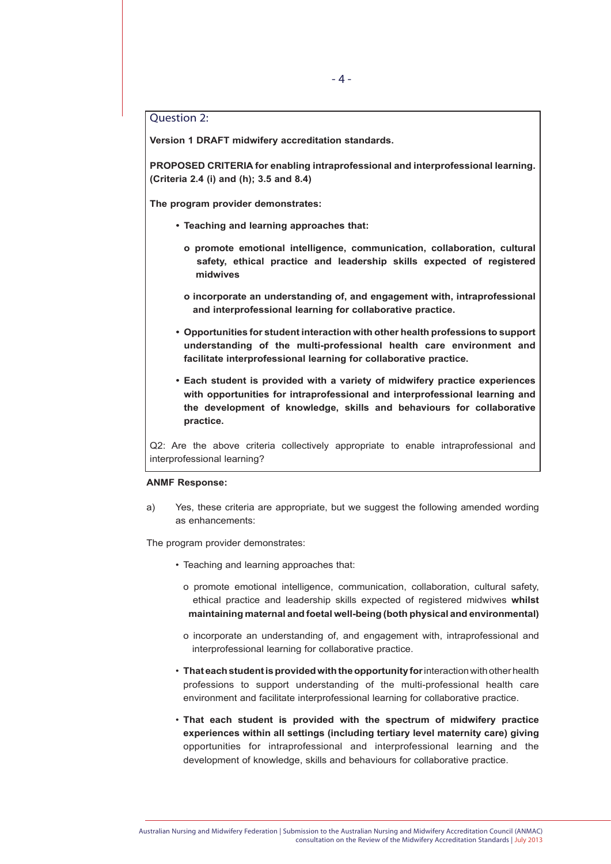# Question 2:

**Version 1 DRAFT midwifery accreditation standards.**

**PROPOSED CRITERIA for enabling intraprofessional and interprofessional learning. (Criteria 2.4 (i) and (h); 3.5 and 8.4)**

**The program provider demonstrates:**

- **• Teaching and learning approaches that:**
	- **o promote emotional intelligence, communication, collaboration, cultural safety, ethical practice and leadership skills expected of registered midwives**
	- **o incorporate an understanding of, and engagement with, intraprofessional and interprofessional learning for collaborative practice.**
- **• Opportunities for student interaction with other health professions to support understanding of the multi-professional health care environment and facilitate interprofessional learning for collaborative practice.**
- **• Each student is provided with a variety of midwifery practice experiences with opportunities for intraprofessional and interprofessional learning and the development of knowledge, skills and behaviours for collaborative practice.**

Q2: Are the above criteria collectively appropriate to enable intraprofessional and interprofessional learning?

#### **ANMF Response:**

a) Yes, these criteria are appropriate, but we suggest the following amended wording as enhancements:

The program provider demonstrates:

- Teaching and learning approaches that:
	- o promote emotional intelligence, communication, collaboration, cultural safety, ethical practice and leadership skills expected of registered midwives **whilst maintaining maternal and foetal well-being (both physical and environmental)**
	- o incorporate an understanding of, and engagement with, intraprofessional and interprofessional learning for collaborative practice.
- **That each student is provided with the opportunity for** interaction with other health professions to support understanding of the multi-professional health care environment and facilitate interprofessional learning for collaborative practice.
- **That each student is provided with the spectrum of midwifery practice experiences within all settings (including tertiary level maternity care) giving** opportunities for intraprofessional and interprofessional learning and the development of knowledge, skills and behaviours for collaborative practice.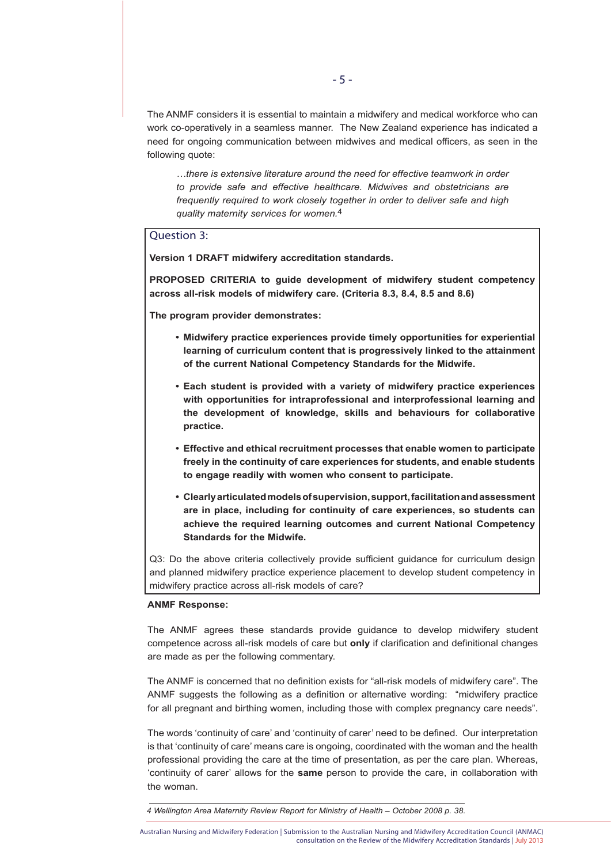The ANMF considers it is essential to maintain a midwifery and medical workforce who can work co-operatively in a seamless manner. The New Zealand experience has indicated a need for ongoing communication between midwives and medical officers, as seen in the following quote:

*…there is extensive literature around the need for effective teamwork in order to provide safe and effective healthcare. Midwives and obstetricians are frequently required to work closely together in order to deliver safe and high quality maternity services for women.*4

# Question 3:

**Version 1 DRAFT midwifery accreditation standards.**

**PROPOSED CRITERIA to guide development of midwifery student competency across all-risk models of midwifery care. (Criteria 8.3, 8.4, 8.5 and 8.6)**

**The program provider demonstrates:**

- **• Midwifery practice experiences provide timely opportunities for experiential learning of curriculum content that is progressively linked to the attainment of the current National Competency Standards for the Midwife.**
- **• Each student is provided with a variety of midwifery practice experiences with opportunities for intraprofessional and interprofessional learning and the development of knowledge, skills and behaviours for collaborative practice.**
- **• Effective and ethical recruitment processes that enable women to participate freely in the continuity of care experiences for students, and enable students to engage readily with women who consent to participate.**
- **• Clearly articulated models of supervision, support, facilitation and assessment are in place, including for continuity of care experiences, so students can achieve the required learning outcomes and current National Competency Standards for the Midwife.**

Q3: Do the above criteria collectively provide sufficient guidance for curriculum design and planned midwifery practice experience placement to develop student competency in midwifery practice across all-risk models of care?

#### **ANMF Response:**

The ANMF agrees these standards provide guidance to develop midwifery student competence across all-risk models of care but **only** if clarification and definitional changes are made as per the following commentary.

The ANMF is concerned that no definition exists for "all-risk models of midwifery care". The ANMF suggests the following as a definition or alternative wording: "midwifery practice for all pregnant and birthing women, including those with complex pregnancy care needs".

The words 'continuity of care' and 'continuity of carer' need to be defined. Our interpretation is that 'continuity of care' means care is ongoing, coordinated with the woman and the health professional providing the care at the time of presentation, as per the care plan. Whereas, 'continuity of carer' allows for the **same** person to provide the care, in collaboration with the woman.

*<sup>4</sup> Wellington Area Maternity Review Report for Ministry of Health – October 2008 p. 38.*

Australian Nursing and Midwifery Federation | Submission to the Australian Nursing and Midwifery Accreditation Council (ANMAC) consultation on the Review of the Midwifery Accreditation Standards | July 2013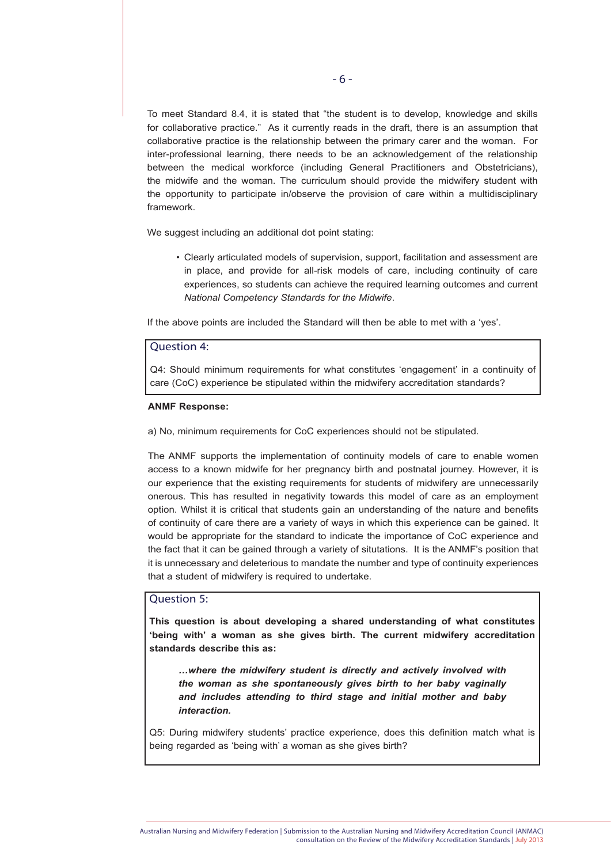To meet Standard 8.4, it is stated that "the student is to develop, knowledge and skills for collaborative practice." As it currently reads in the draft, there is an assumption that collaborative practice is the relationship between the primary carer and the woman. For inter-professional learning, there needs to be an acknowledgement of the relationship between the medical workforce (including General Practitioners and Obstetricians), the midwife and the woman. The curriculum should provide the midwifery student with the opportunity to participate in/observe the provision of care within a multidisciplinary framework.

We suggest including an additional dot point stating:

• Clearly articulated models of supervision, support, facilitation and assessment are in place, and provide for all-risk models of care, including continuity of care experiences, so students can achieve the required learning outcomes and current *National Competency Standards for the Midwife*.

If the above points are included the Standard will then be able to met with a 'yes'.

# Question 4:

Q4: Should minimum requirements for what constitutes 'engagement' in a continuity of care (CoC) experience be stipulated within the midwifery accreditation standards?

#### **ANMF Response:**

a) No, minimum requirements for CoC experiences should not be stipulated.

The ANMF supports the implementation of continuity models of care to enable women access to a known midwife for her pregnancy birth and postnatal journey. However, it is our experience that the existing requirements for students of midwifery are unnecessarily onerous. This has resulted in negativity towards this model of care as an employment option. Whilst it is critical that students gain an understanding of the nature and benefits of continuity of care there are a variety of ways in which this experience can be gained. It would be appropriate for the standard to indicate the importance of CoC experience and the fact that it can be gained through a variety of situtations. It is the ANMF's position that it is unnecessary and deleterious to mandate the number and type of continuity experiences that a student of midwifery is required to undertake.

# Question 5:

**This question is about developing a shared understanding of what constitutes 'being with' a woman as she gives birth. The current midwifery accreditation standards describe this as:**

*…where the midwifery student is directly and actively involved with the woman as she spontaneously gives birth to her baby vaginally and includes attending to third stage and initial mother and baby interaction.*

Q5: During midwifery students' practice experience, does this definition match what is being regarded as 'being with' a woman as she gives birth?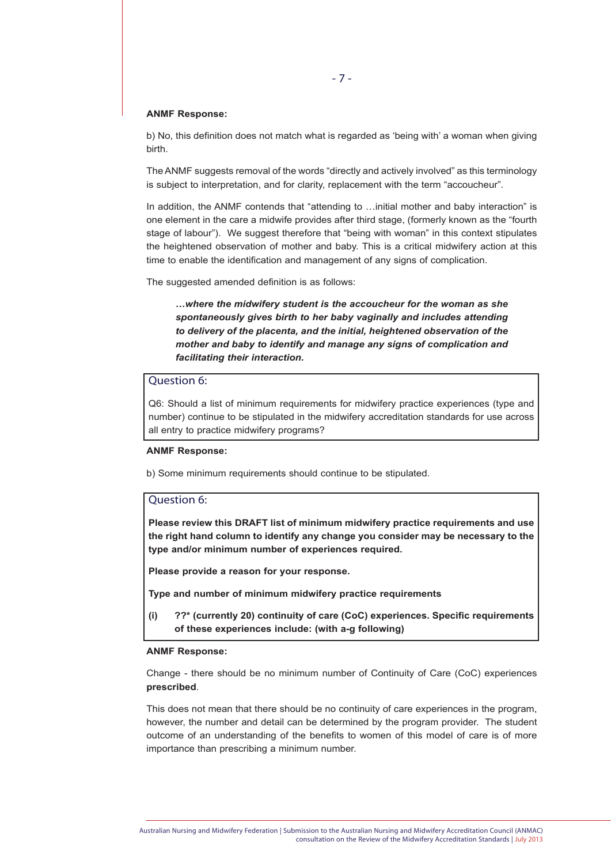#### **ANMF Response:**

b) No, this definition does not match what is regarded as 'being with' a woman when giving birth.

The ANMF suggests removal of the words "directly and actively involved" as this terminology is subject to interpretation, and for clarity, replacement with the term "accoucheur".

In addition, the ANMF contends that "attending to ... initial mother and baby interaction" is one element in the care a midwife provides after third stage, (formerly known as the "fourth stage of labour"). We suggest therefore that "being with woman" in this context stipulates the heightened observation of mother and baby. This is a critical midwifery action at this time to enable the identification and management of any signs of complication.

The suggested amended definition is as follows:

*…where the midwifery student is the accoucheur for the woman as she spontaneously gives birth to her baby vaginally and includes attending to delivery of the placenta, and the initial, heightened observation of the mother and baby to identify and manage any signs of complication and facilitating their interaction.*

# Question 6:

Q6: Should a list of minimum requirements for midwifery practice experiences (type and number) continue to be stipulated in the midwifery accreditation standards for use across all entry to practice midwifery programs?

#### **ANMF Response:**

b) Some minimum requirements should continue to be stipulated.

## Question 6:

**Please review this DRAFT list of minimum midwifery practice requirements and use the right hand column to identify any change you consider may be necessary to the type and/or minimum number of experiences required.**

**Please provide a reason for your response.**

**Type and number of minimum midwifery practice requirements**

**(i) ??\* (currently 20) continuity of care (CoC) experiences. Specific requirements of these experiences include: (with a-g following)**

#### **ANMF Response:**

Change - there should be no minimum number of Continuity of Care (CoC) experiences **prescribed**.

This does not mean that there should be no continuity of care experiences in the program, however, the number and detail can be determined by the program provider. The student outcome of an understanding of the benefits to women of this model of care is of more importance than prescribing a minimum number.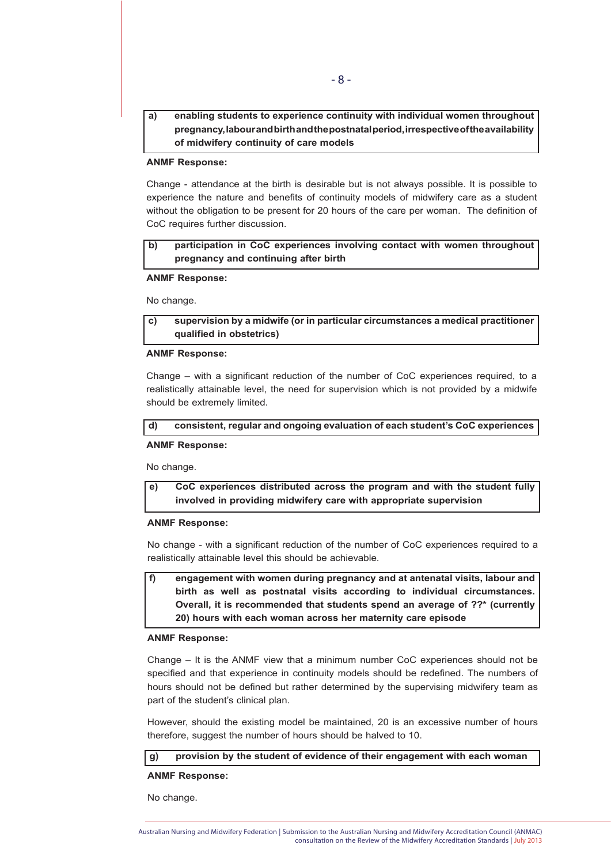# **a) enabling students to experience continuity with individual women throughout pregnancy, labour and birth and the postnatal period, irrespective of the availability of midwifery continuity of care models**

## **ANMF Response:**

Change - attendance at the birth is desirable but is not always possible. It is possible to experience the nature and benefits of continuity models of midwifery care as a student without the obligation to be present for 20 hours of the care per woman. The definition of CoC requires further discussion.

**b) participation in CoC experiences involving contact with women throughout pregnancy and continuing after birth**

#### **ANMF Response:**

No change.

# **c) supervision by a midwife (or in particular circumstances a medical practitioner qualified in obstetrics)**

#### **ANMF Response:**

Change – with a significant reduction of the number of CoC experiences required, to a realistically attainable level, the need for supervision which is not provided by a midwife should be extremely limited.

#### **d) consistent, regular and ongoing evaluation of each student's CoC experiences**

#### **ANMF Response:**

No change.

**e) CoC experiences distributed across the program and with the student fully involved in providing midwifery care with appropriate supervision**

#### **ANMF Response:**

No change - with a significant reduction of the number of CoC experiences required to a realistically attainable level this should be achievable.

**f) engagement with women during pregnancy and at antenatal visits, labour and birth as well as postnatal visits according to individual circumstances. Overall, it is recommended that students spend an average of ??\* (currently 20) hours with each woman across her maternity care episode**

#### **ANMF Response:**

Change – It is the ANMF view that a minimum number CoC experiences should not be specified and that experience in continuity models should be redefined. The numbers of hours should not be defined but rather determined by the supervising midwifery team as part of the student's clinical plan.

However, should the existing model be maintained, 20 is an excessive number of hours therefore, suggest the number of hours should be halved to 10.

#### **g) provision by the student of evidence of their engagement with each woman**

## **ANMF Response:**

No change.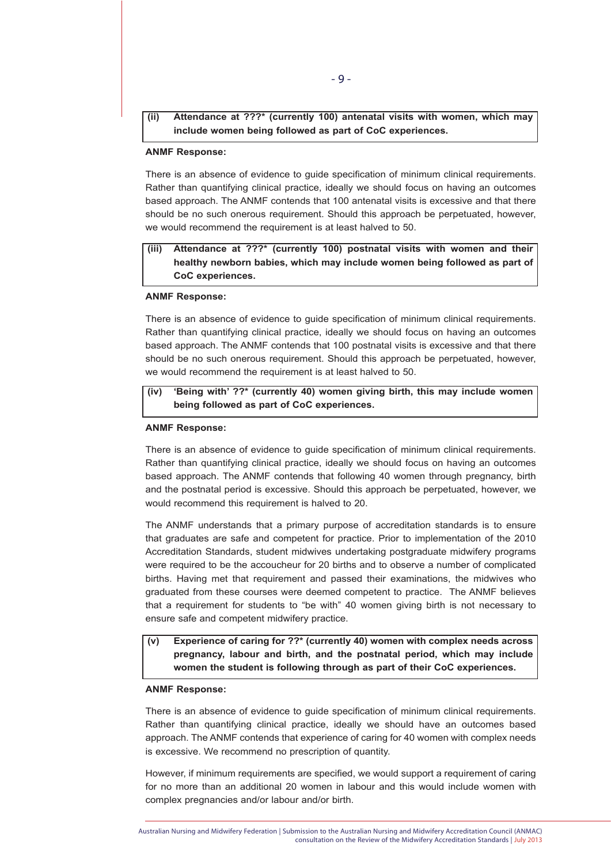# **(ii) Attendance at ???\* (currently 100) antenatal visits with women, which may include women being followed as part of CoC experiences.**

#### **ANMF Response:**

There is an absence of evidence to guide specification of minimum clinical requirements. Rather than quantifying clinical practice, ideally we should focus on having an outcomes based approach. The ANMF contends that 100 antenatal visits is excessive and that there should be no such onerous requirement. Should this approach be perpetuated, however, we would recommend the requirement is at least halved to 50.

# **(iii) Attendance at ???\* (currently 100) postnatal visits with women and their healthy newborn babies, which may include women being followed as part of CoC experiences.**

#### **ANMF Response:**

There is an absence of evidence to guide specification of minimum clinical requirements. Rather than quantifying clinical practice, ideally we should focus on having an outcomes based approach. The ANMF contends that 100 postnatal visits is excessive and that there should be no such onerous requirement. Should this approach be perpetuated, however, we would recommend the requirement is at least halved to 50.

# **(iv) 'Being with' ??\* (currently 40) women giving birth, this may include women being followed as part of CoC experiences.**

#### **ANMF Response:**

There is an absence of evidence to guide specification of minimum clinical requirements. Rather than quantifying clinical practice, ideally we should focus on having an outcomes based approach. The ANMF contends that following 40 women through pregnancy, birth and the postnatal period is excessive. Should this approach be perpetuated, however, we would recommend this requirement is halved to 20.

The ANMF understands that a primary purpose of accreditation standards is to ensure that graduates are safe and competent for practice. Prior to implementation of the 2010 Accreditation Standards, student midwives undertaking postgraduate midwifery programs were required to be the accoucheur for 20 births and to observe a number of complicated births. Having met that requirement and passed their examinations, the midwives who graduated from these courses were deemed competent to practice. The ANMF believes that a requirement for students to "be with" 40 women giving birth is not necessary to ensure safe and competent midwifery practice.

# **(v) Experience of caring for ??\* (currently 40) women with complex needs across pregnancy, labour and birth, and the postnatal period, which may include women the student is following through as part of their CoC experiences.**

## **ANMF Response:**

There is an absence of evidence to guide specification of minimum clinical requirements. Rather than quantifying clinical practice, ideally we should have an outcomes based approach. The ANMF contends that experience of caring for 40 women with complex needs is excessive. We recommend no prescription of quantity.

However, if minimum requirements are specified, we would support a requirement of caring for no more than an additional 20 women in labour and this would include women with complex pregnancies and/or labour and/or birth.

Australian Nursing and Midwifery Federation | Submission to the Australian Nursing and Midwifery Accreditation Council (ANMAC) consultation on the Review of the Midwifery Accreditation Standards | July 2013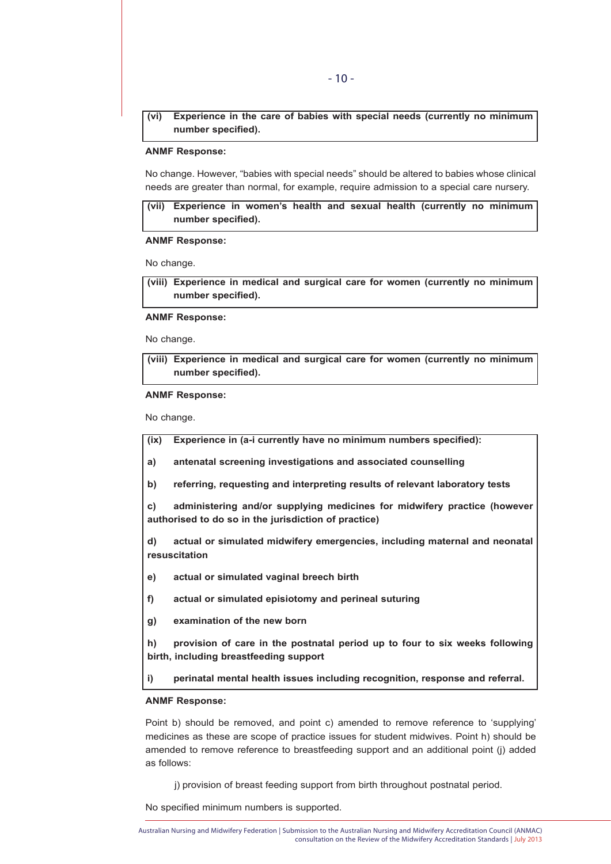**(vi) Experience in the care of babies with special needs (currently no minimum number specified).**

#### **ANMF Response:**

No change. However, "babies with special needs" should be altered to babies whose clinical needs are greater than normal, for example, require admission to a special care nursery.

**(vii) Experience in women's health and sexual health (currently no minimum number specified).**

## **ANMF Response:**

No change.

**(viii) Experience in medical and surgical care for women (currently no minimum number specified).**

**ANMF Response:**

No change.

**(viii) Experience in medical and surgical care for women (currently no minimum number specified).**

#### **ANMF Response:**

No change.

**(ix) Experience in (a-i currently have no minimum numbers specified):**

**a) antenatal screening investigations and associated counselling**

**b) referring, requesting and interpreting results of relevant laboratory tests**

**c) administering and/or supplying medicines for midwifery practice (however authorised to do so in the jurisdiction of practice)**

**d) actual or simulated midwifery emergencies, including maternal and neonatal resuscitation**

**e) actual or simulated vaginal breech birth**

**f) actual or simulated episiotomy and perineal suturing**

**g) examination of the new born**

**h) provision of care in the postnatal period up to four to six weeks following birth, including breastfeeding support**

**i) perinatal mental health issues including recognition, response and referral.**

## **ANMF Response:**

Point b) should be removed, and point c) amended to remove reference to 'supplying' medicines as these are scope of practice issues for student midwives. Point h) should be amended to remove reference to breastfeeding support and an additional point (j) added as follows:

j) provision of breast feeding support from birth throughout postnatal period.

No specified minimum numbers is supported.

Australian Nursing and Midwifery Federation | Submission to the Australian Nursing and Midwifery Accreditation Council (ANMAC) consultation on the Review of the Midwifery Accreditation Standards | July 2013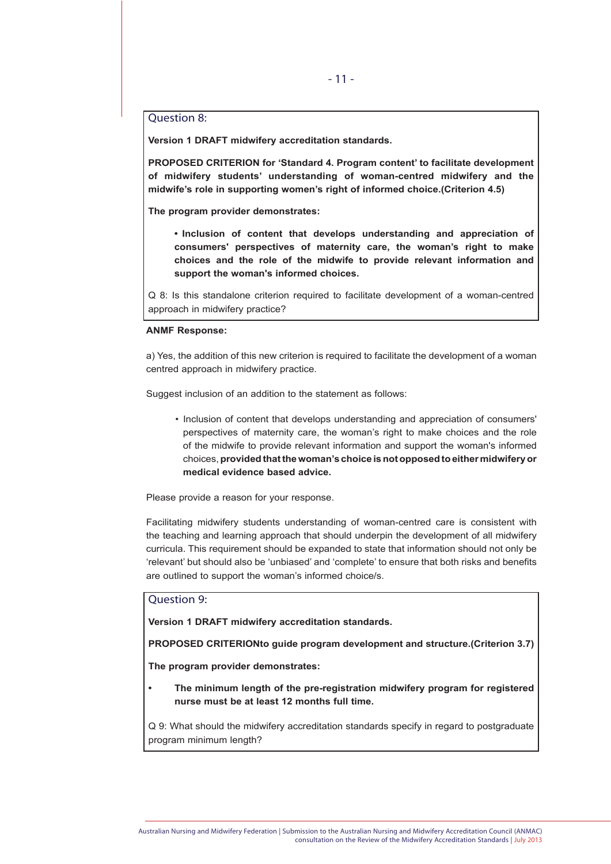# Question 8:

**Version 1 DRAFT midwifery accreditation standards.**

**PROPOSED CRITERION for 'Standard 4. Program content' to facilitate development of midwifery students' understanding of woman-centred midwifery and the midwife's role in supporting women's right of informed choice.(Criterion 4.5)**

**The program provider demonstrates:**

**• Inclusion of content that develops understanding and appreciation of consumers' perspectives of maternity care, the woman's right to make choices and the role of the midwife to provide relevant information and support the woman's informed choices.**

Q 8: Is this standalone criterion required to facilitate development of a woman-centred approach in midwifery practice?

#### **ANMF Response:**

a) Yes, the addition of this new criterion is required to facilitate the development of a woman centred approach in midwifery practice.

Suggest inclusion of an addition to the statement as follows:

• Inclusion of content that develops understanding and appreciation of consumers' perspectives of maternity care, the woman's right to make choices and the role of the midwife to provide relevant information and support the woman's informed choices, **provided that the woman's choice is not opposed to either midwifery or medical evidence based advice.**

Please provide a reason for your response.

Facilitating midwifery students understanding of woman-centred care is consistent with the teaching and learning approach that should underpin the development of all midwifery curricula. This requirement should be expanded to state that information should not only be 'relevant' but should also be 'unbiased' and 'complete' to ensure that both risks and benefits are outlined to support the woman's informed choice/s.

# Question 9:

**Version 1 DRAFT midwifery accreditation standards.**

**PROPOSED CRITERIONto guide program development and structure.(Criterion 3.7)**

**The program provider demonstrates:**

**• The minimum length of the pre-registration midwifery program for registered nurse must be at least 12 months full time.**

Q 9: What should the midwifery accreditation standards specify in regard to postgraduate program minimum length?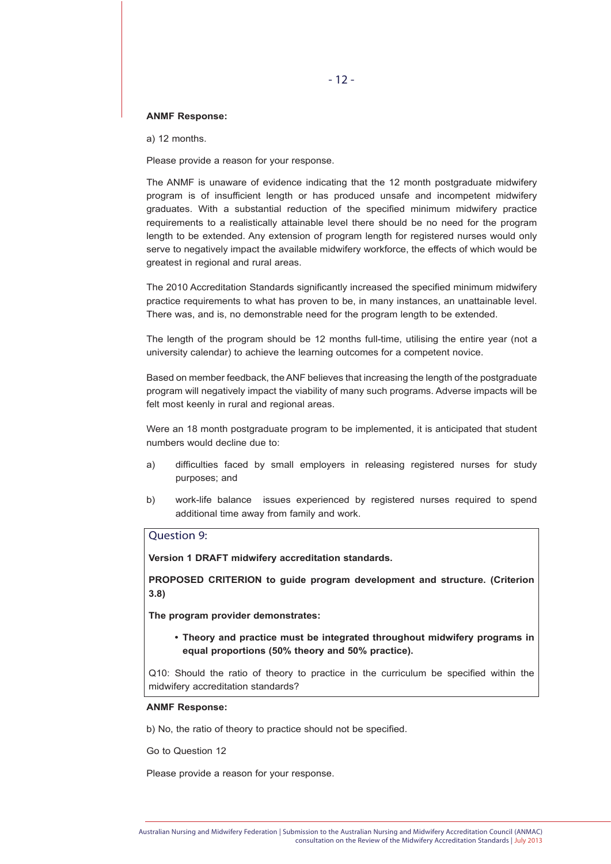## **ANMF Response:**

a) 12 months.

Please provide a reason for your response.

The ANMF is unaware of evidence indicating that the 12 month postgraduate midwifery program is of insufficient length or has produced unsafe and incompetent midwifery graduates. With a substantial reduction of the specified minimum midwifery practice requirements to a realistically attainable level there should be no need for the program length to be extended. Any extension of program length for registered nurses would only serve to negatively impact the available midwifery workforce, the effects of which would be greatest in regional and rural areas.

The 2010 Accreditation Standards significantly increased the specified minimum midwifery practice requirements to what has proven to be, in many instances, an unattainable level. There was, and is, no demonstrable need for the program length to be extended.

The length of the program should be 12 months full-time, utilising the entire year (not a university calendar) to achieve the learning outcomes for a competent novice.

Based on member feedback, the ANF believes that increasing the length of the postgraduate program will negatively impact the viability of many such programs. Adverse impacts will be felt most keenly in rural and regional areas.

Were an 18 month postgraduate program to be implemented, it is anticipated that student numbers would decline due to:

- a) difficulties faced by small employers in releasing registered nurses for study purposes; and
- b) work-life balance issues experienced by registered nurses required to spend additional time away from family and work.

# Question 9:

**Version 1 DRAFT midwifery accreditation standards.**

**PROPOSED CRITERION to guide program development and structure. (Criterion 3.8)**

**The program provider demonstrates:**

**• Theory and practice must be integrated throughout midwifery programs in equal proportions (50% theory and 50% practice).**

Q10: Should the ratio of theory to practice in the curriculum be specified within the midwifery accreditation standards?

#### **ANMF Response:**

b) No, the ratio of theory to practice should not be specified.

Go to Question 12

Please provide a reason for your response.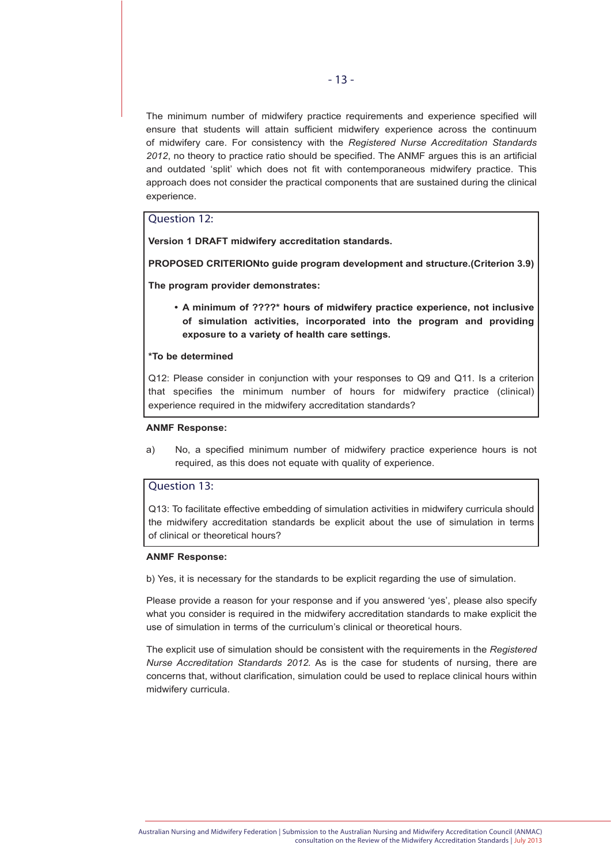The minimum number of midwifery practice requirements and experience specified will ensure that students will attain sufficient midwifery experience across the continuum of midwifery care. For consistency with the *Registered Nurse Accreditation Standards 2012*, no theory to practice ratio should be specified. The ANMF argues this is an artificial and outdated 'split' which does not fit with contemporaneous midwifery practice. This approach does not consider the practical components that are sustained during the clinical experience.

# Question 12:

**Version 1 DRAFT midwifery accreditation standards.**

**PROPOSED CRITERIONto guide program development and structure.(Criterion 3.9)** 

**The program provider demonstrates:**

**• A minimum of ????\* hours of midwifery practice experience, not inclusive of simulation activities, incorporated into the program and providing exposure to a variety of health care settings.**

## **\*To be determined**

Q12: Please consider in conjunction with your responses to Q9 and Q11. Is a criterion that specifies the minimum number of hours for midwifery practice (clinical) experience required in the midwifery accreditation standards?

#### **ANMF Response:**

a) No, a specified minimum number of midwifery practice experience hours is not required, as this does not equate with quality of experience.

## Question 13:

Q13: To facilitate effective embedding of simulation activities in midwifery curricula should the midwifery accreditation standards be explicit about the use of simulation in terms of clinical or theoretical hours?

# **ANMF Response:**

b) Yes, it is necessary for the standards to be explicit regarding the use of simulation.

Please provide a reason for your response and if you answered 'yes', please also specify what you consider is required in the midwifery accreditation standards to make explicit the use of simulation in terms of the curriculum's clinical or theoretical hours.

The explicit use of simulation should be consistent with the requirements in the *Registered Nurse Accreditation Standards 2012.* As is the case for students of nursing, there are concerns that, without clarification, simulation could be used to replace clinical hours within midwifery curricula.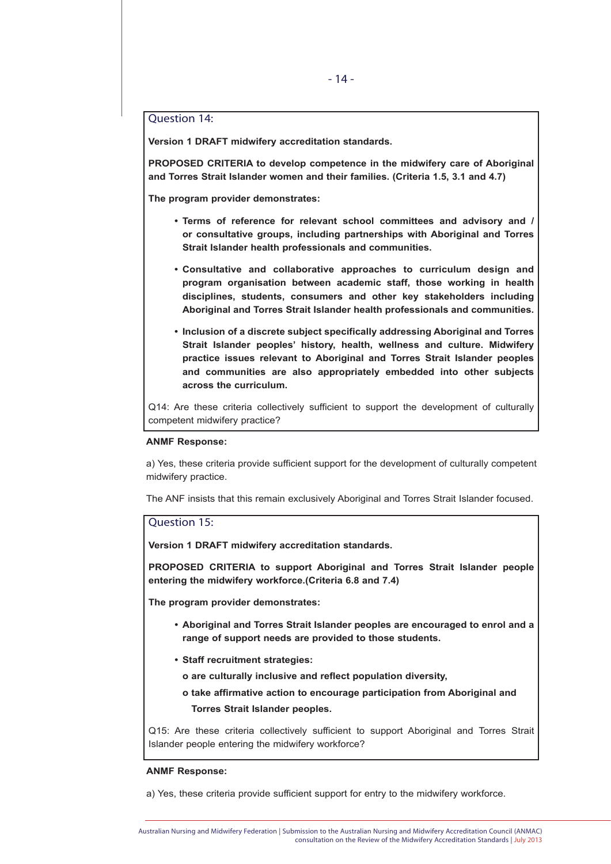# Question 14:

**Version 1 DRAFT midwifery accreditation standards.**

**PROPOSED CRITERIA to develop competence in the midwifery care of Aboriginal and Torres Strait Islander women and their families. (Criteria 1.5, 3.1 and 4.7)**

**The program provider demonstrates:**

- **• Terms of reference for relevant school committees and advisory and / or consultative groups, including partnerships with Aboriginal and Torres Strait Islander health professionals and communities.**
- **• Consultative and collaborative approaches to curriculum design and program organisation between academic staff, those working in health disciplines, students, consumers and other key stakeholders including Aboriginal and Torres Strait Islander health professionals and communities.**
- **• Inclusion of a discrete subject specifically addressing Aboriginal and Torres Strait Islander peoples' history, health, wellness and culture. Midwifery practice issues relevant to Aboriginal and Torres Strait Islander peoples and communities are also appropriately embedded into other subjects across the curriculum.**

Q14: Are these criteria collectively sufficient to support the development of culturally competent midwifery practice?

#### **ANMF Response:**

a) Yes, these criteria provide sufficient support for the development of culturally competent midwifery practice.

The ANF insists that this remain exclusively Aboriginal and Torres Strait Islander focused.

# Question 15:

**Version 1 DRAFT midwifery accreditation standards.**

**PROPOSED CRITERIA to support Aboriginal and Torres Strait Islander people entering the midwifery workforce.(Criteria 6.8 and 7.4)**

**The program provider demonstrates:**

- **• Aboriginal and Torres Strait Islander peoples are encouraged to enrol and a range of support needs are provided to those students.**
- **• Staff recruitment strategies:**
	- **o are culturally inclusive and reflect population diversity,**
	- **o take affirmative action to encourage participation from Aboriginal and Torres Strait Islander peoples.**

Q15: Are these criteria collectively sufficient to support Aboriginal and Torres Strait Islander people entering the midwifery workforce?

#### **ANMF Response:**

a) Yes, these criteria provide sufficient support for entry to the midwifery workforce.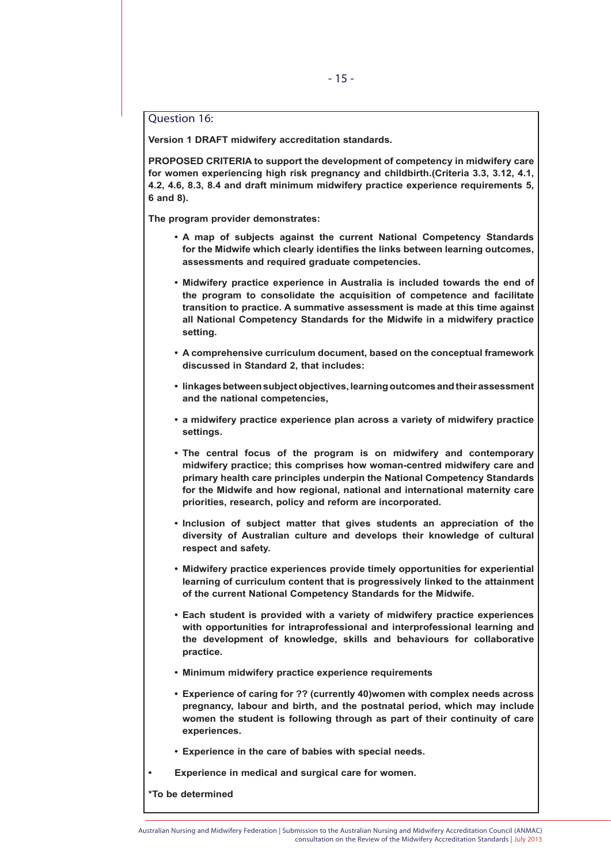# Question 16:

**Version 1 DRAFT midwifery accreditation standards.**

**PROPOSED CRITERIA to support the development of competency in midwifery care for women experiencing high risk pregnancy and childbirth.(Criteria 3.3, 3.12, 4.1, 4.2, 4.6, 8.3, 8.4 and draft minimum midwifery practice experience requirements 5, 6 and 8).**

**The program provider demonstrates:**

- **• A map of subjects against the current National Competency Standards for the Midwife which clearly identifies the links between learning outcomes, assessments and required graduate competencies.**
- **• Midwifery practice experience in Australia is included towards the end of the program to consolidate the acquisition of competence and facilitate transition to practice. A summative assessment is made at this time against all National Competency Standards for the Midwife in a midwifery practice setting.**
- **• A comprehensive curriculum document, based on the conceptual framework discussed in Standard 2, that includes:**
- **• linkages between subject objectives, learning outcomes and their assessment and the national competencies,**
- **• a midwifery practice experience plan across a variety of midwifery practice settings.**
- **• The central focus of the program is on midwifery and contemporary midwifery practice; this comprises how woman-centred midwifery care and primary health care principles underpin the National Competency Standards for the Midwife and how regional, national and international maternity care priorities, research, policy and reform are incorporated.**
- **• Inclusion of subject matter that gives students an appreciation of the diversity of Australian culture and develops their knowledge of cultural respect and safety.**
- **• Midwifery practice experiences provide timely opportunities for experiential learning of curriculum content that is progressively linked to the attainment of the current National Competency Standards for the Midwife.**
- **• Each student is provided with a variety of midwifery practice experiences with opportunities for intraprofessional and interprofessional learning and the development of knowledge, skills and behaviours for collaborative practice.**
- **• Minimum midwifery practice experience requirements**
- **• Experience of caring for ?? (currently 40)women with complex needs across pregnancy, labour and birth, and the postnatal period, which may include women the student is following through as part of their continuity of care experiences.**
- **• Experience in the care of babies with special needs.**
- **• Experience in medical and surgical care for women.**

**\*To be determined**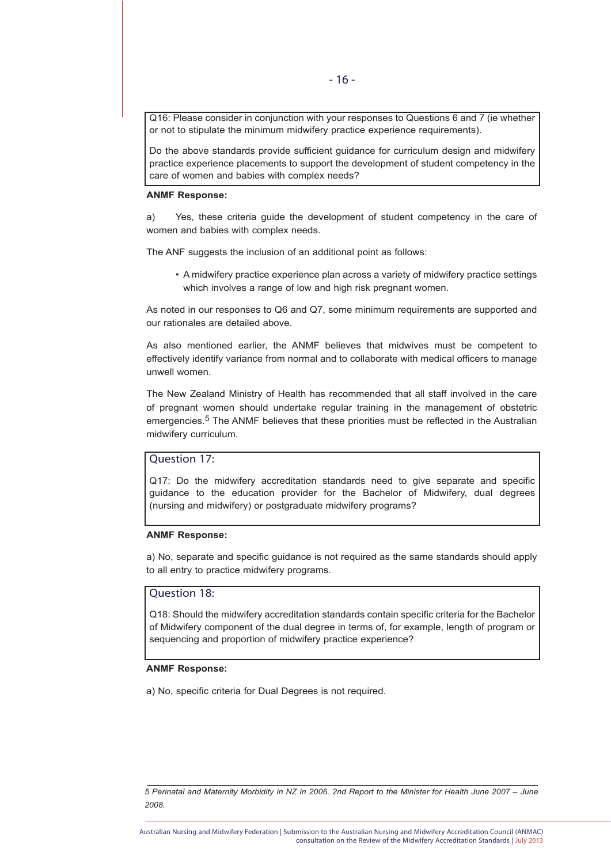Q16: Please consider in conjunction with your responses to Questions 6 and 7 (ie whether or not to stipulate the minimum midwifery practice experience requirements).

Do the above standards provide sufficient guidance for curriculum design and midwifery practice experience placements to support the development of student competency in the care of women and babies with complex needs?

#### **ANMF Response:**

a) Yes, these criteria guide the development of student competency in the care of women and babies with complex needs.

The ANF suggests the inclusion of an additional point as follows:

• A midwifery practice experience plan across a variety of midwifery practice settings which involves a range of low and high risk pregnant women.

As noted in our responses to Q6 and Q7, some minimum requirements are supported and our rationales are detailed above.

As also mentioned earlier, the ANMF believes that midwives must be competent to effectively identify variance from normal and to collaborate with medical officers to manage unwell women.

The New Zealand Ministry of Health has recommended that all staff involved in the care of pregnant women should undertake regular training in the management of obstetric emergencies.5 The ANMF believes that these priorities must be reflected in the Australian midwifery curriculum.

# Question 17:

Q17: Do the midwifery accreditation standards need to give separate and specific guidance to the education provider for the Bachelor of Midwifery, dual degrees (nursing and midwifery) or postgraduate midwifery programs?

#### **ANMF Response:**

a) No, separate and specific guidance is not required as the same standards should apply to all entry to practice midwifery programs.

# Question 18:

Q18: Should the midwifery accreditation standards contain specific criteria for the Bachelor of Midwifery component of the dual degree in terms of, for example, length of program or sequencing and proportion of midwifery practice experience?

## **ANMF Response:**

a) No, specific criteria for Dual Degrees is not required.

*5 Perinatal and Maternity Morbidity in NZ in 2006. 2nd Report to the Minister for Health June 2007 – June 2008.*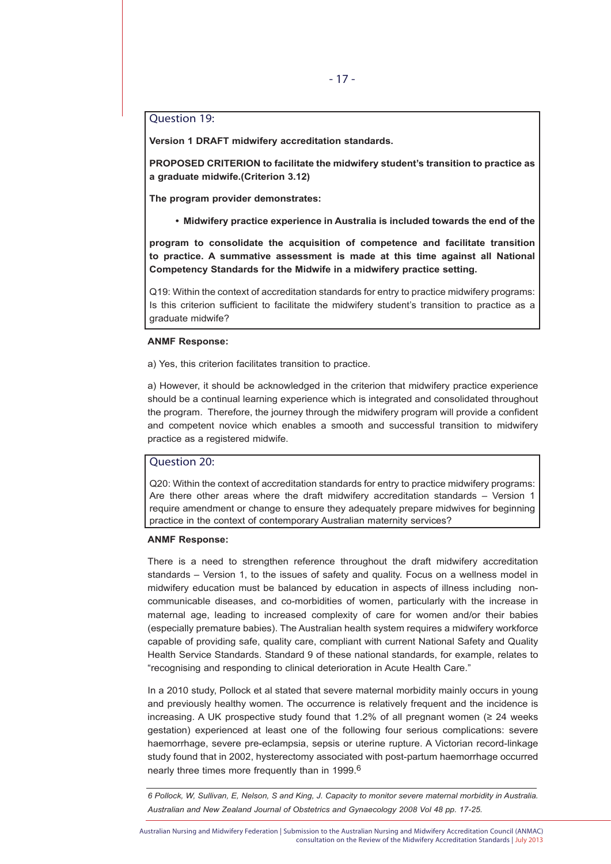# Question 19:

**Version 1 DRAFT midwifery accreditation standards.**

**PROPOSED CRITERION to facilitate the midwifery student's transition to practice as a graduate midwife.(Criterion 3.12)**

**The program provider demonstrates:**

**• Midwifery practice experience in Australia is included towards the end of the** 

**program to consolidate the acquisition of competence and facilitate transition to practice. A summative assessment is made at this time against all National Competency Standards for the Midwife in a midwifery practice setting.**

Q19: Within the context of accreditation standards for entry to practice midwifery programs: Is this criterion sufficient to facilitate the midwifery student's transition to practice as a graduate midwife?

#### **ANMF Response:**

a) Yes, this criterion facilitates transition to practice.

a) However, it should be acknowledged in the criterion that midwifery practice experience should be a continual learning experience which is integrated and consolidated throughout the program. Therefore, the journey through the midwifery program will provide a confident and competent novice which enables a smooth and successful transition to midwifery practice as a registered midwife.

# Question 20:

Q20: Within the context of accreditation standards for entry to practice midwifery programs: Are there other areas where the draft midwifery accreditation standards – Version 1 require amendment or change to ensure they adequately prepare midwives for beginning practice in the context of contemporary Australian maternity services?

#### **ANMF Response:**

There is a need to strengthen reference throughout the draft midwifery accreditation standards – Version 1, to the issues of safety and quality. Focus on a wellness model in midwifery education must be balanced by education in aspects of illness including noncommunicable diseases, and co-morbidities of women, particularly with the increase in maternal age, leading to increased complexity of care for women and/or their babies (especially premature babies). The Australian health system requires a midwifery workforce capable of providing safe, quality care, compliant with current National Safety and Quality Health Service Standards. Standard 9 of these national standards, for example, relates to "recognising and responding to clinical deterioration in Acute Health Care."

In a 2010 study, Pollock et al stated that severe maternal morbidity mainly occurs in young and previously healthy women. The occurrence is relatively frequent and the incidence is increasing. A UK prospective study found that 1.2% of all pregnant women  $(≥ 24$  weeks gestation) experienced at least one of the following four serious complications: severe haemorrhage, severe pre-eclampsia, sepsis or uterine rupture. A Victorian record-linkage study found that in 2002, hysterectomy associated with post-partum haemorrhage occurred nearly three times more frequently than in 1999.6

*6 Pollock, W, Sullivan, E, Nelson, S and King, J. Capacity to monitor severe maternal morbidity in Australia. Australian and New Zealand Journal of Obstetrics and Gynaecology 2008 Vol 48 pp. 17-25.*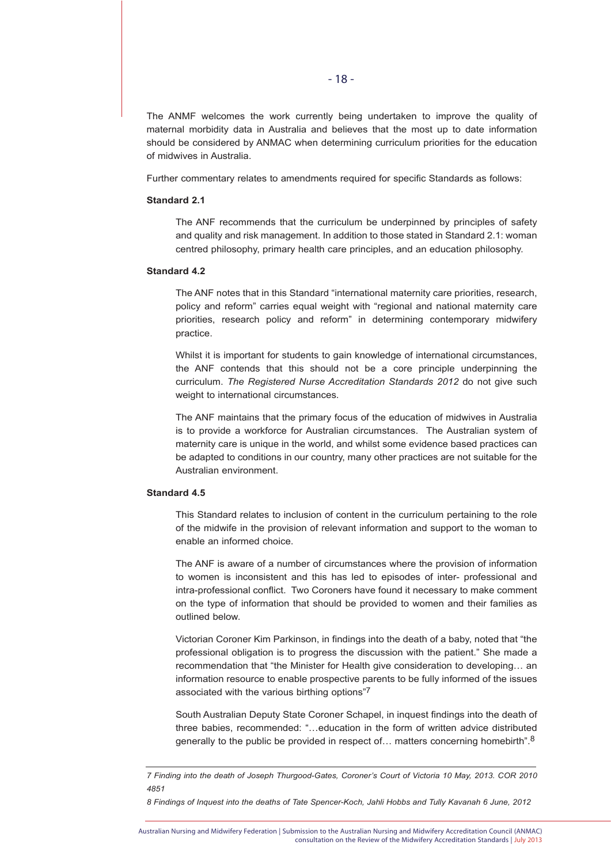The ANMF welcomes the work currently being undertaken to improve the quality of maternal morbidity data in Australia and believes that the most up to date information should be considered by ANMAC when determining curriculum priorities for the education of midwives in Australia.

Further commentary relates to amendments required for specific Standards as follows:

#### **Standard 2.1**

The ANF recommends that the curriculum be underpinned by principles of safety and quality and risk management. In addition to those stated in Standard 2.1: woman centred philosophy, primary health care principles, and an education philosophy.

## **Standard 4.2**

The ANF notes that in this Standard "international maternity care priorities, research, policy and reform" carries equal weight with "regional and national maternity care priorities, research policy and reform" in determining contemporary midwifery practice.

Whilst it is important for students to gain knowledge of international circumstances, the ANF contends that this should not be a core principle underpinning the curriculum. *The Registered Nurse Accreditation Standards 2012* do not give such weight to international circumstances.

The ANF maintains that the primary focus of the education of midwives in Australia is to provide a workforce for Australian circumstances. The Australian system of maternity care is unique in the world, and whilst some evidence based practices can be adapted to conditions in our country, many other practices are not suitable for the Australian environment.

## **Standard 4.5**

This Standard relates to inclusion of content in the curriculum pertaining to the role of the midwife in the provision of relevant information and support to the woman to enable an informed choice.

The ANF is aware of a number of circumstances where the provision of information to women is inconsistent and this has led to episodes of inter- professional and intra-professional conflict. Two Coroners have found it necessary to make comment on the type of information that should be provided to women and their families as outlined below.

Victorian Coroner Kim Parkinson, in findings into the death of a baby, noted that "the professional obligation is to progress the discussion with the patient." She made a recommendation that "the Minister for Health give consideration to developing… an information resource to enable prospective parents to be fully informed of the issues associated with the various birthing options"7

South Australian Deputy State Coroner Schapel, in inquest findings into the death of three babies, recommended: "…education in the form of written advice distributed generally to the public be provided in respect of... matters concerning homebirth".<sup>8</sup>

*8 Findings of Inquest into the deaths of Tate Spencer-Koch, Jahli Hobbs and Tully Kavanah 6 June, 2012*

*<sup>7</sup> Finding into the death of Joseph Thurgood-Gates, Coroner's Court of Victoria 10 May, 2013. COR 2010 4851*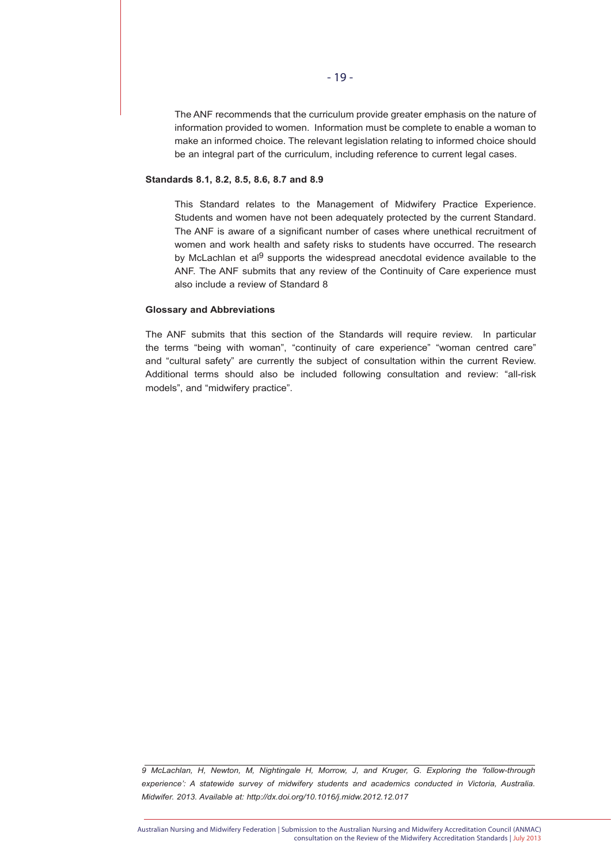The ANF recommends that the curriculum provide greater emphasis on the nature of information provided to women. Information must be complete to enable a woman to make an informed choice. The relevant legislation relating to informed choice should be an integral part of the curriculum, including reference to current legal cases.

#### **Standards 8.1, 8.2, 8.5, 8.6, 8.7 and 8.9**

This Standard relates to the Management of Midwifery Practice Experience. Students and women have not been adequately protected by the current Standard. The ANF is aware of a significant number of cases where unethical recruitment of women and work health and safety risks to students have occurred. The research by McLachlan et al $9$  supports the widespread anecdotal evidence available to the ANF. The ANF submits that any review of the Continuity of Care experience must also include a review of Standard 8

#### **Glossary and Abbreviations**

The ANF submits that this section of the Standards will require review. In particular the terms "being with woman", "continuity of care experience" "woman centred care" and "cultural safety" are currently the subject of consultation within the current Review. Additional terms should also be included following consultation and review: "all-risk models", and "midwifery practice".

*9 McLachlan, H, Newton, M, Nightingale H, Morrow, J, and Kruger, G. Exploring the 'follow-through experience': A statewide survey of midwifery students and academics conducted in Victoria, Australia. Midwifer. 2013. Available at: http://dx.doi.org/10.1016/j.midw.2012.12.017* 

Australian Nursing and Midwifery Federation | Submission to the Australian Nursing and Midwifery Accreditation Council (ANMAC) consultation on the Review of the Midwifery Accreditation Standards | July 2013